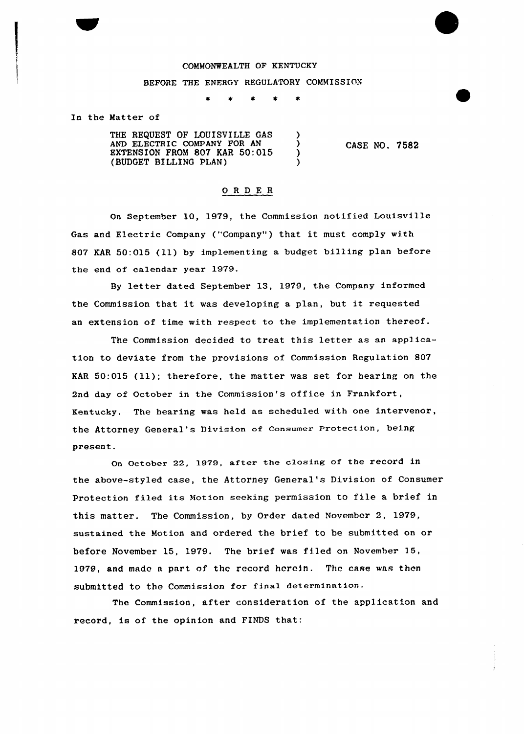## COMMONWEALTH OF KENTUCKY

## BEFORE THE ENERGY REGULATORY COMMISSION

In the Matter of

THE REQUEST OF LOUISVILLE GAS (3) AND ELECTRIC COMPANY FOR AN (3)<br>EXTENSION FROM 807 KAR 50:015 (3) EXTENSION FROM 807 KAR 50:015 (BUDGET BILLING PLAN) )

CASE NO, 7582

## ORDE <sup>R</sup>

On September 10, 1979, the Commission notified Louisville Gas and Electric Company ("Company") that it must comply with 807 KAR 50:015 (11) by implementing a budget billing plan before the end of calendar year 1979.

By letter dated September 13, 1979, the Company informed the Commission that it was developing <sup>a</sup> plan, but it requested an extension of time with respect to the implementation thereof.

The Commission decided to treat this letter as an application to deviate from the provisions of Commission Regulation 807 KAR 50:015 (ll); therefore, the matter was set for hearing on the 2nd day of October in the Commission's office in Frankfort, Kentucky. The hearing was held as scheduled with one intervenor, the Attorney General's Division of consumer Protection, being present.

On October 22, 1979, aftex the closing of the record in the above-styled case, the Attorney General's Division of Consumer Protection filed its Motion seeking permission to file <sup>a</sup> brief in this matter. The Commission, by Order dated November 2, 1979, sustained the Motion and ordered the brief to be submitted on or before November 15, 1979. The brief was filed on November 15, 1979, and made a part of the record herein. The case was then submitted to the Commission for final determination.

The Commission, after consideration of the application and record, is of the opinion and FINDS that: